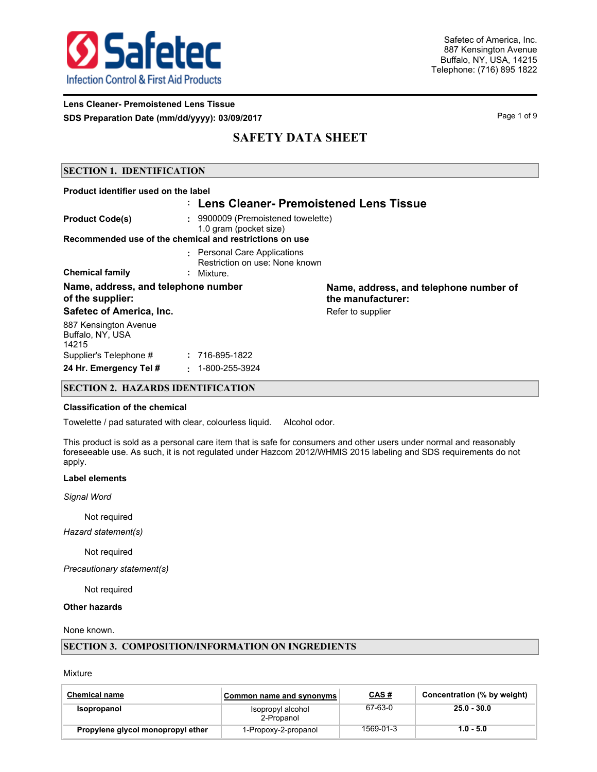

**Lens Cleaner- Premoistened Lens Tissue SDS Preparation Date (mm/dd/yyyy): 03/09/2017** Page 1 of 9

# **SAFETY DATA SHEET**

### **SECTION 1. IDENTIFICATION**

| Product identifier used on the label                    |                                                                                                                         |                                                             |
|---------------------------------------------------------|-------------------------------------------------------------------------------------------------------------------------|-------------------------------------------------------------|
|                                                         | : Lens Cleaner- Premoistened Lens Tissue                                                                                |                                                             |
| <b>Product Code(s)</b>                                  | : 9900009 (Premoistened towelette)<br>1.0 gram (pocket size)<br>Recommended use of the chemical and restrictions on use |                                                             |
| <b>Chemical family</b>                                  | : Personal Care Applications<br>Restriction on use: None known<br>$:$ Mixture.                                          |                                                             |
| Name, address, and telephone number<br>of the supplier: |                                                                                                                         | Name, address, and telephone number of<br>the manufacturer: |
| Safetec of America, Inc.                                |                                                                                                                         | Refer to supplier                                           |
| 887 Kensington Avenue<br>Buffalo, NY, USA<br>14215      |                                                                                                                         |                                                             |
| Supplier's Telephone #                                  | : 716-895-1822                                                                                                          |                                                             |
| 24 Hr. Emergency Tel #                                  | 1-800-255-3924<br>٠.                                                                                                    |                                                             |

## **SECTION 2. HAZARDS IDENTIFICATION**

### **Classification of the chemical**

Towelette / pad saturated with clear, colourless liquid. Alcohol odor.

This product is sold as a personal care item that is safe for consumers and other users under normal and reasonably foreseeable use. As such, it is not regulated under Hazcom 2012/WHMIS 2015 labeling and SDS requirements do not apply.

#### **Label elements**

*Signal Word*

Not required

*Hazard statement(s)*

Not required

*Precautionary statement(s)*

Not required

**Other hazards**

### None known.

### **SECTION 3. COMPOSITION/INFORMATION ON INGREDIENTS**

Mixture

| <b>Chemical name</b>              | Common name and synonyms        | <b>CAS#</b> | Concentration (% by weight) |
|-----------------------------------|---------------------------------|-------------|-----------------------------|
| Isopropanol                       | Isopropyl alcohol<br>2-Propanol | 67-63-0     | $25.0 - 30.0$               |
| Propylene glycol monopropyl ether | 1-Propoxy-2-propanol            | 1569-01-3   | $1.0 - 5.0$                 |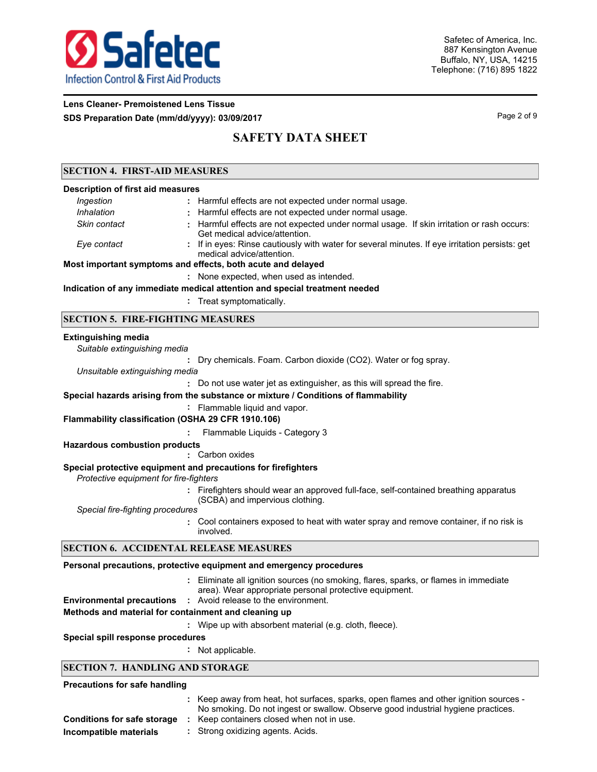

## **Lens Cleaner- Premoistened Lens Tissue SDS Preparation Date (mm/dd/yyyy): 03/09/2017** Page 2 of 9

# **SAFETY DATA SHEET**

## **SECTION 4. FIRST-AID MEASURES**

| <b>Description of first aid measures</b> |                                                                                                                                                                                                                                    |
|------------------------------------------|------------------------------------------------------------------------------------------------------------------------------------------------------------------------------------------------------------------------------------|
| Ingestion                                | : Harmful effects are not expected under normal usage.                                                                                                                                                                             |
| Inhalation                               | Harmful effects are not expected under normal usage.                                                                                                                                                                               |
| Skin contact                             | Harmful effects are not expected under normal usage. If skin irritation or rash occurs:<br>Get medical advice/attention.                                                                                                           |
| Eye contact                              | : If in eyes: Rinse cautiously with water for several minutes. If eye irritation persists: get<br>medical advice/attention.                                                                                                        |
|                                          | Most important symptoms and effects, both acute and delayed                                                                                                                                                                        |
|                                          | : None expected, when used as intended.                                                                                                                                                                                            |
|                                          | Indication of any immediate medical attention and special treatment needed                                                                                                                                                         |
|                                          | : Treat symptomatically.                                                                                                                                                                                                           |
|                                          | <b>SECTION 5. FIRE-FIGHTING MEASURES</b>                                                                                                                                                                                           |
| <b>Extinguishing media</b>               |                                                                                                                                                                                                                                    |
| Suitable extinguishing media             |                                                                                                                                                                                                                                    |
|                                          | Dry chemicals. Foam. Carbon dioxide (CO2). Water or fog spray.                                                                                                                                                                     |
| Unsuitable extinguishing media           |                                                                                                                                                                                                                                    |
|                                          | : Do not use water jet as extinguisher, as this will spread the fire.                                                                                                                                                              |
|                                          | Special hazards arising from the substance or mixture / Conditions of flammability                                                                                                                                                 |
|                                          | : Flammable liquid and vapor.                                                                                                                                                                                                      |
|                                          | Flammability classification (OSHA 29 CFR 1910.106)                                                                                                                                                                                 |
|                                          | Flammable Liquids - Category 3                                                                                                                                                                                                     |
| <b>Hazardous combustion products</b>     |                                                                                                                                                                                                                                    |
|                                          | Carbon oxides                                                                                                                                                                                                                      |
|                                          | $\bullet$ . The set of the set of the set of the set of the set of the set of the set of the set of the set of the set of the set of the set of the set of the set of the set of the set of the set of the set of the set of the s |

#### **Special protective equipment and precautions for firefighters**

*Protective equipment for fire-fighters*

**:** Firefighters should wear an approved full-face, self-contained breathing apparatus (SCBA) and impervious clothing.

*Special fire-fighting procedures*

**:** Cool containers exposed to heat with water spray and remove container, if no risk is involved.

## **SECTION 6. ACCIDENTAL RELEASE MEASURES**

### **Personal precautions, protective equipment and emergency procedures**

Eliminate all ignition sources (no smoking, flares, sparks, or flames in immediate **:** area). Wear appropriate personal protective equipment. **Environmental precautions :** Avoid release to the environment.

- **Methods and material for containment and cleaning up**
- **:** Wipe up with absorbent material (e.g. cloth, fleece).

#### **Special spill response procedures**

**:** Not applicable.

### **SECTION 7. HANDLING AND STORAGE**

#### **Precautions for safe handling**

- : Keep away from heat, hot surfaces, sparks, open flames and other ignition sources -No smoking. Do not ingest or swallow. Observe good industrial hygiene practices. **Conditions for safe storage :** Keep containers closed when not in use.
- **Incompatible materials :** Strong oxidizing agents. Acids.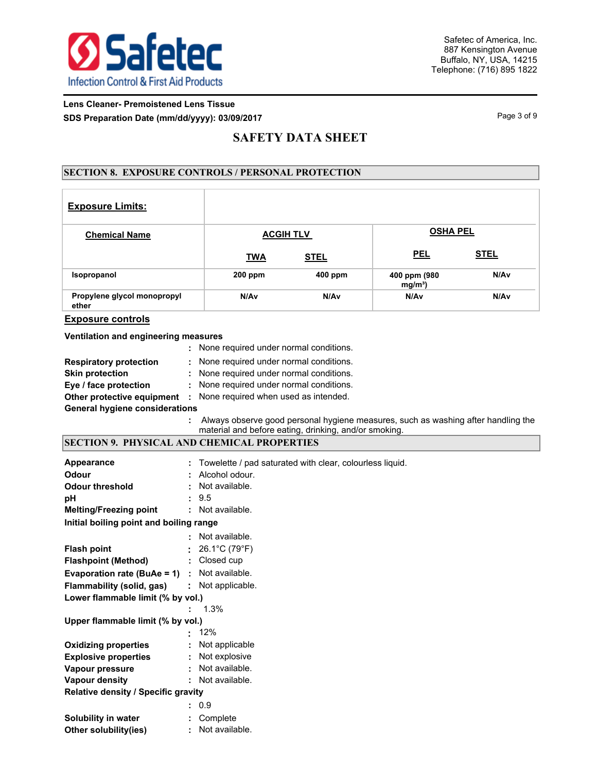

## **Lens Cleaner- Premoistened Lens Tissue SDS Preparation Date (mm/dd/yyyy): 03/09/2017** Page 1 of 9

# **SAFETY DATA SHEET**

## **SECTION 8. EXPOSURE CONTROLS / PERSONAL PROTECTION**

| <b>Exposure Limits:</b>              |            |                  |                           |             |
|--------------------------------------|------------|------------------|---------------------------|-------------|
| <b>Chemical Name</b>                 |            | <b>ACGIH TLV</b> | <b>OSHA PEL</b>           |             |
|                                      | <b>TWA</b> | <b>STEL</b>      | <b>PEL</b>                | <b>STEL</b> |
| Isopropanol                          | $200$ ppm  | 400 ppm          | 400 ppm (980<br>$mg/m3$ ) | N/Av        |
| Propylene glycol monopropyl<br>ether | N/Av       | N/A <sub>v</sub> | N/Av                      | N/Av        |

## **Exposure controls**

#### **Ventilation and engineering measures**

|                                       |  | : None required under normal conditions.                                 |  |  |  |
|---------------------------------------|--|--------------------------------------------------------------------------|--|--|--|
| <b>Respiratory protection</b>         |  | : None required under normal conditions.                                 |  |  |  |
| <b>Skin protection</b>                |  | : None required under normal conditions.                                 |  |  |  |
| Eye / face protection                 |  | : None required under normal conditions.                                 |  |  |  |
|                                       |  | <b>Other protective equipment</b> : None required when used as intended. |  |  |  |
| <b>General hygiene considerations</b> |  |                                                                          |  |  |  |

**:** Always observe good personal hygiene measures, such as washing after handling the material and before eating, drinking, and/or smoking.

### **SECTION 9. PHYSICAL AND CHEMICAL PROPERTIES**

| Appearance                                          |  | Towelette / pad saturated with clear, colourless liquid. |  |  |  |
|-----------------------------------------------------|--|----------------------------------------------------------|--|--|--|
| Odour                                               |  | : Alcohol odour.                                         |  |  |  |
| <b>Odour threshold</b>                              |  | : Not available.                                         |  |  |  |
| рH                                                  |  | : 9.5                                                    |  |  |  |
| <b>Melting/Freezing point</b>                       |  | : Not available.                                         |  |  |  |
| Initial boiling point and boiling range             |  |                                                          |  |  |  |
|                                                     |  | : Not available.                                         |  |  |  |
| <b>Flash point</b>                                  |  | 26.1°C (79°F)                                            |  |  |  |
| <b>Flashpoint (Method)</b>                          |  | : Closed cup                                             |  |  |  |
| <b>Evaporation rate (BuAe = 1)</b> : Not available. |  |                                                          |  |  |  |
| Flammability (solid, gas)                           |  | : Not applicable.                                        |  |  |  |
| Lower flammable limit (% by vol.)                   |  |                                                          |  |  |  |
|                                                     |  | $1.3\%$                                                  |  |  |  |
| Upper flammable limit (% by vol.)                   |  |                                                          |  |  |  |
|                                                     |  | 12%                                                      |  |  |  |
| <b>Oxidizing properties</b>                         |  | : Not applicable                                         |  |  |  |
| <b>Explosive properties</b>                         |  | : Not explosive                                          |  |  |  |
| Vapour pressure                                     |  | : Not available.                                         |  |  |  |
| <b>Vapour density</b>                               |  | : Not available.                                         |  |  |  |
| <b>Relative density / Specific gravity</b>          |  |                                                          |  |  |  |
|                                                     |  | : 0.9                                                    |  |  |  |
| Solubility in water                                 |  | : Complete                                               |  |  |  |
| Other solubility(ies)                               |  | : Not available.                                         |  |  |  |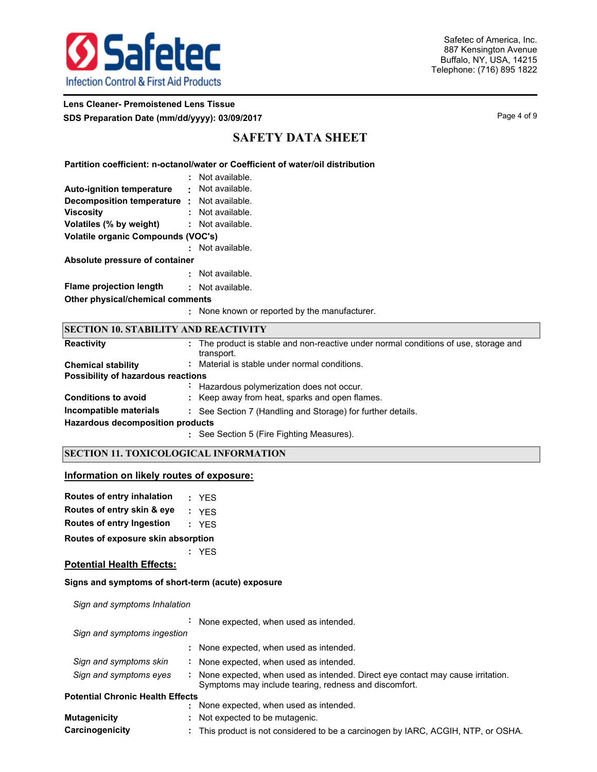

## **Lens Cleaner- Premoistened Lens Tissue SDS Preparation Date (mm/dd/yyyy): 03/09/2017** Page 4 of 9

# **SAFETY DATA SHEET**

**Partition coefficient: n-octanol/water or Coefficient of water/oil distribution**

|                                    |   | Not available. |
|------------------------------------|---|----------------|
| <b>Auto-ignition temperature</b>   | ٠ | Not available. |
| Decomposition temperature :        |   | Not available. |
| <b>Viscosity</b>                   |   | Not available. |
| Volatiles (% by weight)            |   | Not available. |
| Volatile organic Compounds (VOC's) |   |                |
|                                    |   | Not available. |
| Absolute pressure of container     |   |                |
|                                    |   | Not available. |
| <b>Flame projection length</b>     |   | Not available. |
| Other physical/chemical comments   |   |                |
|                                    |   |                |

**:** None known or reported by the manufacturer.

| <b>SECTION 10. STABILITY AND REACTIVITY</b> |                                                                                                  |  |  |  |  |  |  |
|---------------------------------------------|--------------------------------------------------------------------------------------------------|--|--|--|--|--|--|
| <b>Reactivity</b>                           | The product is stable and non-reactive under normal conditions of use, storage and<br>transport. |  |  |  |  |  |  |
| <b>Chemical stability</b>                   | : Material is stable under normal conditions.                                                    |  |  |  |  |  |  |
| Possibility of hazardous reactions          |                                                                                                  |  |  |  |  |  |  |
|                                             | Hazardous polymerization does not occur.                                                         |  |  |  |  |  |  |
| <b>Conditions to avoid</b>                  | : Keep away from heat, sparks and open flames.                                                   |  |  |  |  |  |  |
| Incompatible materials                      | : See Section 7 (Handling and Storage) for further details.                                      |  |  |  |  |  |  |
| <b>Hazardous decomposition products</b>     |                                                                                                  |  |  |  |  |  |  |
|                                             | See Section 5 (Fire Fighting Measures).                                                          |  |  |  |  |  |  |

## **SECTION 11. TOXICOLOGICAL INFORMATION**

### **Information on likely routes of exposure:**

| Routes of entry inhalation | : YES |
|----------------------------|-------|
| Routes of entry skin & eye | : YFS |

|  |  | Bernard of color because the |  |  |  | - -- - |  |
|--|--|------------------------------|--|--|--|--------|--|

**Routes of entry Ingestion :** YES

**Routes of exposure skin absorption**

**:** YES

### **Potential Health Effects:**

#### **Signs and symptoms of short-term (acute) exposure**

*Sign and symptoms Inhalation*

|                                         | $\blacksquare$ | None expected, when used as intended.                                                                                                     |
|-----------------------------------------|----------------|-------------------------------------------------------------------------------------------------------------------------------------------|
| Sign and symptoms ingestion             |                |                                                                                                                                           |
|                                         |                | : None expected, when used as intended.                                                                                                   |
| Sign and symptoms skin                  |                | : None expected, when used as intended.                                                                                                   |
| Sign and symptoms eyes                  |                | : None expected, when used as intended. Direct eye contact may cause irritation.<br>Symptoms may include tearing, redness and discomfort. |
| <b>Potential Chronic Health Effects</b> |                |                                                                                                                                           |
|                                         |                | None expected, when used as intended.                                                                                                     |
| <b>Mutagenicity</b>                     |                | : Not expected to be mutagenic.                                                                                                           |

**Carcinogenicity :** This product is not considered to be a carcinogen by IARC, ACGIH, NTP, or OSHA.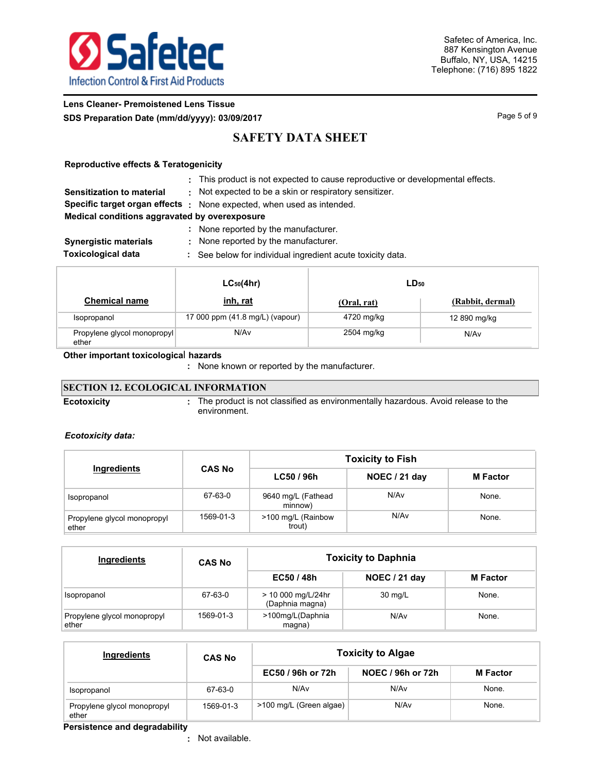

## **Lens Cleaner- Premoistened Lens Tissue SDS Preparation Date (mm/dd/yyyy): 03/09/2017** Page 1 and the page 5 of 9

# **SAFETY DATA SHEET**

## **Reproductive effects & Teratogenicity**

| : This product is not expected to cause reproductive or developmental effects. |  |
|--------------------------------------------------------------------------------|--|
|                                                                                |  |

**Sensitization to material :** Not expected to be a skin or respiratory sensitizer.

**Specific target organ effects :** None expected, when used as intended.

**Medical conditions aggravated by overexposure**

|  |  |  |  | None reported by the manufacturer. |
|--|--|--|--|------------------------------------|
|--|--|--|--|------------------------------------|

- **Synergistic materials :** None reported by the manufacturer.
- **Toxicological data :** See below for individual ingredient acute toxicity data.

|                                      | $LC_{50}(4hr)$                  | LD <sub>50</sub> |                  |  |  |
|--------------------------------------|---------------------------------|------------------|------------------|--|--|
| <b>Chemical name</b>                 | inh, rat                        | (Oral, rat)      | (Rabbit, dermal) |  |  |
| Isopropanol                          | 17 000 ppm (41.8 mg/L) (vapour) | 4720 mg/kg       | 12 890 mg/kg     |  |  |
| Propylene glycol monopropyl<br>ether | N/Av                            | 2504 mg/kg       | N/Av             |  |  |

## **Other important toxicologica**l **hazards**

**:** None known or reported by the manufacturer.

#### **SECTION 12. ECOLOGICAL INFORMATION** The product is not classified as environmentally hazardous. Avoid release to the environment. **Ecotoxicity :**

## *Ecotoxicity data:*

|                                      |               | <b>Toxicity to Fish</b>       |               |                 |  |  |
|--------------------------------------|---------------|-------------------------------|---------------|-----------------|--|--|
| Ingredients                          | <b>CAS No</b> | LC50/96h                      | NOEC / 21 day | <b>M</b> Factor |  |  |
| Isopropanol                          | 67-63-0       | 9640 mg/L (Fathead<br>minnow) | N/Av          | None.           |  |  |
| Propylene glycol monopropyl<br>ether | 1569-01-3     | >100 mg/L (Rainbow<br>trout)  | N/Av          | None.           |  |  |

| Ingredients                          | <b>CAS No</b> | <b>Toxicity to Daphnia</b>            |               |                 |  |  |
|--------------------------------------|---------------|---------------------------------------|---------------|-----------------|--|--|
|                                      |               | EC50/48h                              | NOEC / 21 day | <b>M</b> Factor |  |  |
| Isopropanol                          | 67-63-0       | > 10 000 mg/L/24hr<br>(Daphnia magna) | 30 mg/L       | None.           |  |  |
| Propylene glycol monopropyl<br>ether | 1569-01-3     | >100mg/L(Daphnia<br>magna)            | N/Av          | None.           |  |  |

| Ingredients                          | <b>CAS No</b> |                         | <b>Toxicity to Algae</b> |                 |  |  |  |
|--------------------------------------|---------------|-------------------------|--------------------------|-----------------|--|--|--|
|                                      |               | EC50 / 96h or 72h       | NOEC / 96h or 72h        | <b>M</b> Factor |  |  |  |
| Isopropanol                          | 67-63-0       | N/Av                    | N/Av                     | None.           |  |  |  |
| Propylene glycol monopropyl<br>ether | 1569-01-3     | >100 mg/L (Green algae) | N/A <sub>v</sub>         | None.           |  |  |  |

**Persistence and degradability**

Not available. **:**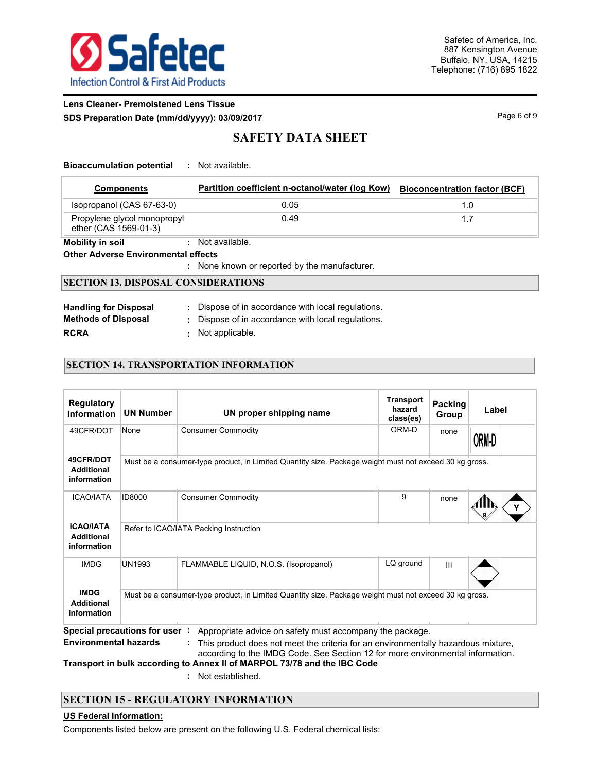

## **Lens Cleaner- Premoistened Lens Tissue SDS Preparation Date (mm/dd/yyyy): 03/09/2017** Page 6 of 9

# **SAFETY DATA SHEET**

| <b>Bioaccumulation potential</b> |  | Not available. |
|----------------------------------|--|----------------|
|----------------------------------|--|----------------|

| <b>Components</b>                                    | Partition coefficient n-octanol/water (log Kow) | <b>Bioconcentration factor (BCF)</b> |  |  |  |  |  |
|------------------------------------------------------|-------------------------------------------------|--------------------------------------|--|--|--|--|--|
| Isopropanol (CAS 67-63-0)                            | 0.05                                            | 1.0                                  |  |  |  |  |  |
| Propylene glycol monopropyl<br>ether (CAS 1569-01-3) | 0.49                                            | 1.7                                  |  |  |  |  |  |
| Mobility in soil                                     | : Not available.                                |                                      |  |  |  |  |  |
| <b>Other Adverse Environmental effects</b>           |                                                 |                                      |  |  |  |  |  |
| : None known or reported by the manufacturer.        |                                                 |                                      |  |  |  |  |  |

# **SECTION 13. DISPOSAL CONSIDERATIONS**

| <b>Handling for Disposal</b> | : Dispose of in accordance with local regulations. |
|------------------------------|----------------------------------------------------|
| <b>Methods of Disposal</b>   | : Dispose of in accordance with local regulations. |
| <b>RCRA</b>                  | : Not applicable.                                  |

## **SECTION 14. TRANSPORTATION INFORMATION**

| <b>Regulatory</b><br><b>Information</b>              | <b>UN Number</b> | UN proper shipping name                                                                                                                                                                                                                                                                                                                                              | <b>Transport</b><br>hazard<br>class(es) | Packing<br>Group | Label |  |
|------------------------------------------------------|------------------|----------------------------------------------------------------------------------------------------------------------------------------------------------------------------------------------------------------------------------------------------------------------------------------------------------------------------------------------------------------------|-----------------------------------------|------------------|-------|--|
| 49CFR/DOT                                            | None             | <b>Consumer Commodity</b>                                                                                                                                                                                                                                                                                                                                            | ORM-D                                   | none             | ORM D |  |
| 49CFR/DOT<br><b>Additional</b><br>information        |                  | Must be a consumer-type product, in Limited Quantity size. Package weight must not exceed 30 kg gross.                                                                                                                                                                                                                                                               |                                         |                  |       |  |
| <b>ICAO/IATA</b>                                     | <b>ID8000</b>    | <b>Consumer Commodity</b>                                                                                                                                                                                                                                                                                                                                            | 9                                       | none             |       |  |
| <b>ICAO/IATA</b><br><b>Additional</b><br>information |                  | Refer to ICAO/IATA Packing Instruction                                                                                                                                                                                                                                                                                                                               |                                         |                  |       |  |
| <b>IMDG</b>                                          | <b>UN1993</b>    | FLAMMABLE LIQUID, N.O.S. (Isopropanol)                                                                                                                                                                                                                                                                                                                               | LQ ground                               | $\mathbf{III}$   |       |  |
| <b>IMDG</b><br><b>Additional</b><br>information      |                  | Must be a consumer-type product, in Limited Quantity size. Package weight must not exceed 30 kg gross.                                                                                                                                                                                                                                                               |                                         |                  |       |  |
| <b>Environmental hazards</b>                         |                  | Special precautions for user : Appropriate advice on safety must accompany the package.<br>This product does not meet the criteria for an environmentally hazardous mixture,<br>÷.<br>according to the IMDG Code. See Section 12 for more environmental information.<br>The home of the booth and condition to America. It of MARRAN TAGE 70 (70 cm of the URA Andre |                                         |                  |       |  |

**Transport in bulk according to Annex II of MARPOL 73/78 and the IBC Code**

**:** Not established.

## **SECTION 15 - REGULATORY INFORMATION**

## **US Federal Information:**

Components listed below are present on the following U.S. Federal chemical lists: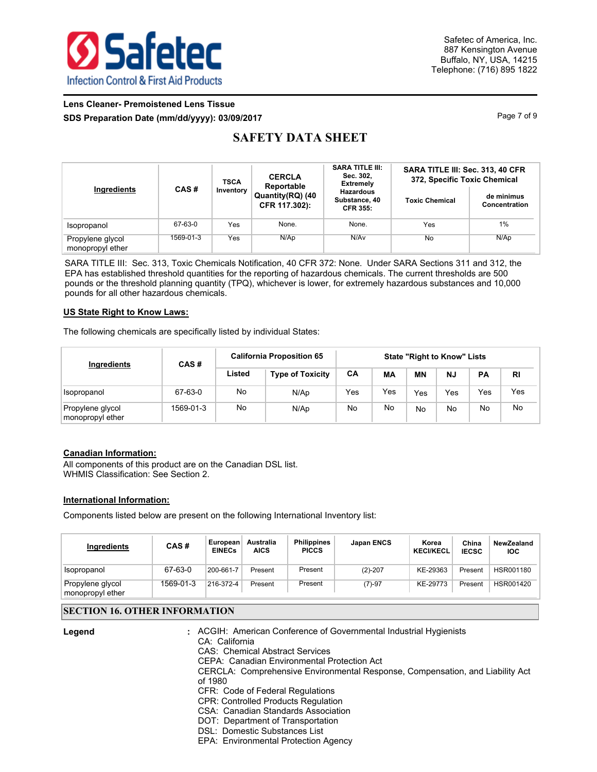

## **Lens Cleaner- Premoistened Lens Tissue SDS Preparation Date (mm/dd/yyyy): 03/09/2017** Page 7 of 9

# **SAFETY DATA SHEET**

| Ingredients                          | CAS#      | <b>CERCLA</b><br><b>TSCA</b><br>Reportable<br>Inventory<br>Quantity(RQ) (40<br>CFR 117.302): |       | <b>SARA TITLE III:</b><br>Sec. 302,<br><b>Extremely</b><br><b>Hazardous</b><br>Substance, 40<br><b>CFR 355:</b> | SARA TITLE III: Sec. 313, 40 CFR<br>372, Specific Toxic Chemical<br>de minimus<br><b>Toxic Chemical</b><br>Concentration |      |  |
|--------------------------------------|-----------|----------------------------------------------------------------------------------------------|-------|-----------------------------------------------------------------------------------------------------------------|--------------------------------------------------------------------------------------------------------------------------|------|--|
| Isopropanol                          | 67-63-0   | Yes                                                                                          | None. | None.                                                                                                           | Yes                                                                                                                      | 1%   |  |
| Propylene glycol<br>monopropyl ether | 1569-01-3 | Yes                                                                                          | N/Ap  | N/Av                                                                                                            | No                                                                                                                       | N/Ap |  |

SARA TITLE III: Sec. 313, Toxic Chemicals Notification, 40 CFR 372: None. Under SARA Sections 311 and 312, the EPA has established threshold quantities for the reporting of hazardous chemicals. The current thresholds are 500 pounds or the threshold planning quantity (TPQ), whichever is lower, for extremely hazardous substances and 10,000 pounds for all other hazardous chemicals.

### **US State Right to Know Laws:**

The following chemicals are specifically listed by individual States:

| Ingredients                          | CAS#      | <b>California Proposition 65</b> |                         | <b>State "Right to Know" Lists</b> |     |     |           |           |           |
|--------------------------------------|-----------|----------------------------------|-------------------------|------------------------------------|-----|-----|-----------|-----------|-----------|
|                                      |           | Listed                           | <b>Type of Toxicity</b> | CA                                 | MA  | ΜN  | <b>NJ</b> | <b>PA</b> | <b>RI</b> |
| Isopropanol                          | 67-63-0   | No                               | N/Ap                    | Yes                                | Yes | Yes | Yes       | Yes       | Yes       |
| Propylene glycol<br>monopropyl ether | 1569-01-3 | No                               | N/Ap                    | No                                 | No  | No  | No        | No        | No        |

### **Canadian Information:**

All components of this product are on the Canadian DSL list. WHMIS Classification: See Section 2.

### **International Information:**

Components listed below are present on the following International Inventory list:

| Ingredients                          | CAS#      | European<br><b>EINECs</b> | Australia<br><b>AICS</b> | <b>Philippines</b><br><b>PICCS</b> | Japan ENCS | Korea<br><b>KECI/KECL</b> | China<br><b>IECSC</b> | NewZealand<br><b>IOC</b> |
|--------------------------------------|-----------|---------------------------|--------------------------|------------------------------------|------------|---------------------------|-----------------------|--------------------------|
| Isopropanol                          | 67-63-0   | 200-661-7                 | Present                  | Present                            | $(2)-207$  | KE-29363                  | Present               | HSR001180                |
| Propylene glycol<br>monopropyl ether | 1569-01-3 | 216-372-4                 | Present                  | Present                            | $(7)-97$   | KE-29773                  | Present               | HSR001420                |

## **SECTION 16. OTHER INFORMATION**

| Legend | : ACGIH: American Conference of Governmental Industrial Hygienists<br>CA: California<br>CAS: Chemical Abstract Services |
|--------|-------------------------------------------------------------------------------------------------------------------------|
|        | CEPA: Canadian Environmental Protection Act                                                                             |
|        | CERCLA: Comprehensive Environmental Response, Compensation, and Liability Act<br>of 1980                                |
|        | CFR: Code of Federal Regulations                                                                                        |
|        | <b>CPR: Controlled Products Regulation</b>                                                                              |
|        | CSA: Canadian Standards Association                                                                                     |
|        | DOT: Department of Transportation                                                                                       |
|        | DSL: Domestic Substances List                                                                                           |

EPA: Environmental Protection Agency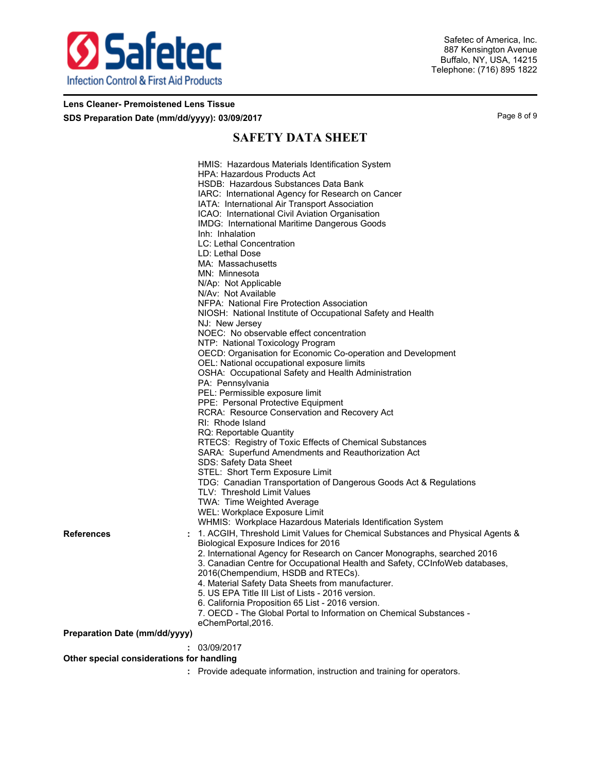

## **Lens Cleaner- Premoistened Lens Tissue SDS Preparation Date (mm/dd/yyyy): 03/09/2017** Page 8 of 9

# **SAFETY DATA SHEET**

|                                           | HMIS: Hazardous Materials Identification System                                |
|-------------------------------------------|--------------------------------------------------------------------------------|
|                                           | <b>HPA: Hazardous Products Act</b>                                             |
|                                           | HSDB: Hazardous Substances Data Bank                                           |
|                                           | IARC: International Agency for Research on Cancer                              |
|                                           | IATA: International Air Transport Association                                  |
|                                           | ICAO: International Civil Aviation Organisation                                |
|                                           | IMDG: International Maritime Dangerous Goods                                   |
|                                           | Inh: Inhalation                                                                |
|                                           | LC: Lethal Concentration                                                       |
|                                           | LD: Lethal Dose                                                                |
|                                           | MA: Massachusetts                                                              |
|                                           | MN: Minnesota                                                                  |
|                                           | N/Ap: Not Applicable                                                           |
|                                           | N/Av: Not Available                                                            |
|                                           | NFPA: National Fire Protection Association                                     |
|                                           | NIOSH: National Institute of Occupational Safety and Health                    |
|                                           | NJ: New Jersey                                                                 |
|                                           | NOEC: No observable effect concentration                                       |
|                                           | NTP: National Toxicology Program                                               |
|                                           | OECD: Organisation for Economic Co-operation and Development                   |
|                                           | OEL: National occupational exposure limits                                     |
|                                           | OSHA: Occupational Safety and Health Administration                            |
|                                           |                                                                                |
|                                           | PA: Pennsylvania                                                               |
|                                           | PEL: Permissible exposure limit                                                |
|                                           | PPE: Personal Protective Equipment                                             |
|                                           | RCRA: Resource Conservation and Recovery Act                                   |
|                                           | RI: Rhode Island                                                               |
|                                           | RQ: Reportable Quantity                                                        |
|                                           | RTECS: Registry of Toxic Effects of Chemical Substances                        |
|                                           | SARA: Superfund Amendments and Reauthorization Act                             |
|                                           | SDS: Safety Data Sheet                                                         |
|                                           | STEL: Short Term Exposure Limit                                                |
|                                           | TDG: Canadian Transportation of Dangerous Goods Act & Regulations              |
|                                           | TLV: Threshold Limit Values                                                    |
|                                           | TWA: Time Weighted Average                                                     |
|                                           | WEL: Workplace Exposure Limit                                                  |
|                                           | WHMIS: Workplace Hazardous Materials Identification System                     |
| References                                | 1. ACGIH, Threshold Limit Values for Chemical Substances and Physical Agents & |
|                                           | Biological Exposure Indices for 2016                                           |
|                                           | 2. International Agency for Research on Cancer Monographs, searched 2016       |
|                                           | 3. Canadian Centre for Occupational Health and Safety, CCInfoWeb databases,    |
|                                           | 2016(Chempendium, HSDB and RTECs).                                             |
|                                           | 4. Material Safety Data Sheets from manufacturer.                              |
|                                           | 5. US EPA Title III List of Lists - 2016 version.                              |
|                                           | 6. California Proposition 65 List - 2016 version.                              |
|                                           | 7. OECD - The Global Portal to Information on Chemical Substances -            |
|                                           | eChemPortal, 2016.                                                             |
| Preparation Date (mm/dd/yyyy)             |                                                                                |
|                                           | 03/09/2017                                                                     |
|                                           |                                                                                |
| Other special considerations for handling |                                                                                |
|                                           | : Provide adequate information, instruction and training for operators.        |